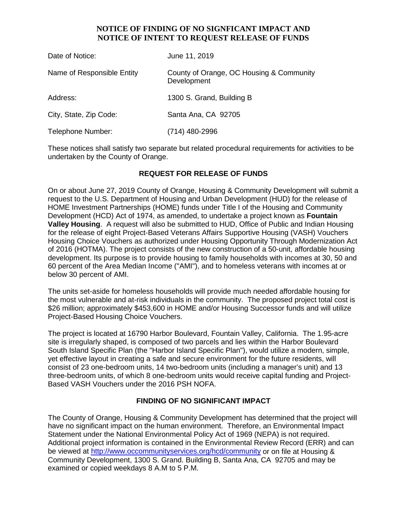## **NOTICE OF FINDING OF NO SIGNFICANT IMPACT AND NOTICE OF INTENT TO REQUEST RELEASE OF FUNDS**

| Date of Notice:            | June 11, 2019                                           |
|----------------------------|---------------------------------------------------------|
| Name of Responsible Entity | County of Orange, OC Housing & Community<br>Development |
| Address:                   | 1300 S. Grand, Building B                               |
| City, State, Zip Code:     | Santa Ana, CA 92705                                     |
| Telephone Number:          | (714) 480-2996                                          |

These notices shall satisfy two separate but related procedural requirements for activities to be undertaken by the County of Orange.

## **REQUEST FOR RELEASE OF FUNDS**

On or about June 27, 2019 County of Orange, Housing & Community Development will submit a request to the U.S. Department of Housing and Urban Development (HUD) for the release of HOME Investment Partnerships (HOME) funds under Title I of the Housing and Community Development (HCD) Act of 1974, as amended, to undertake a project known as **Fountain Valley Housing**. A request will also be submitted to HUD, Office of Public and Indian Housing for the release of eight Project-Based Veterans Affairs Supportive Housing (VASH) Vouchers Housing Choice Vouchers as authorized under Housing Opportunity Through Modernization Act of 2016 (HOTMA). The project consists of the new construction of a 50-unit, affordable housing development. Its purpose is to provide housing to family households with incomes at 30, 50 and 60 percent of the Area Median Income ("AMI"), and to homeless veterans with incomes at or below 30 percent of AMI.

The units set-aside for homeless households will provide much needed affordable housing for the most vulnerable and at-risk individuals in the community. The proposed project total cost is \$26 million; approximately \$453,600 in HOME and/or Housing Successor funds and will utilize Project-Based Housing Choice Vouchers.

The project is located at 16790 Harbor Boulevard, Fountain Valley, California. The 1.95-acre site is irregularly shaped, is composed of two parcels and lies within the Harbor Boulevard South Island Specific Plan (the "Harbor Island Specific Plan"), would utilize a modern, simple, yet effective layout in creating a safe and secure environment for the future residents, will consist of 23 one-bedroom units, 14 two-bedroom units (including a manager's unit) and 13 three-bedroom units, of which 8 one-bedroom units would receive capital funding and Project-Based VASH Vouchers under the 2016 PSH NOFA.

### **FINDING OF NO SIGNIFICANT IMPACT**

The County of Orange, Housing & Community Development has determined that the project will have no significant impact on the human environment. Therefore, an Environmental Impact Statement under the National Environmental Policy Act of 1969 (NEPA) is not required. Additional project information is contained in the Environmental Review Record (ERR) and can be viewed at<http://www.occommunityservices.org/hcd/community> or on file at Housing & Community Development, 1300 S. Grand. Building B, Santa Ana, CA 92705 and may be examined or copied weekdays 8 A.M to 5 P.M.